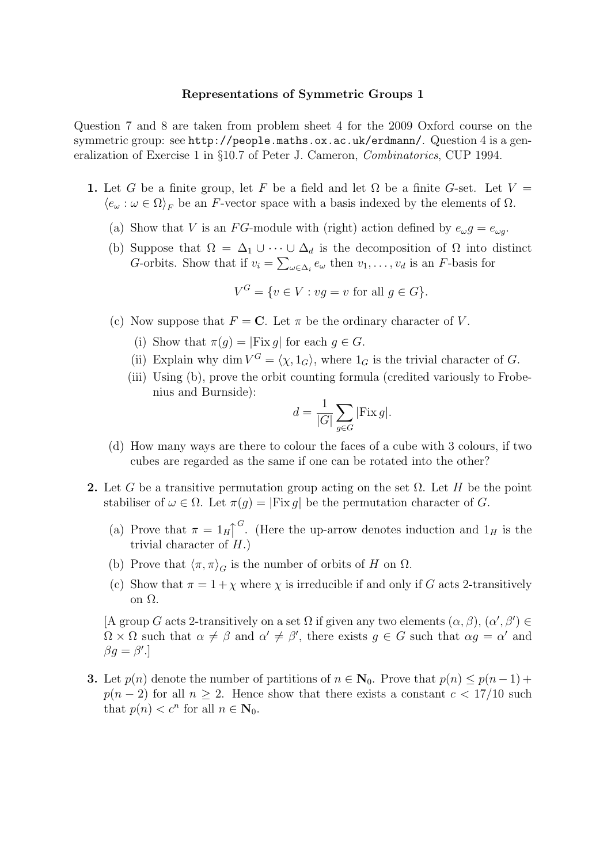## Representations of Symmetric Groups 1

Question 7 and 8 are taken from problem sheet 4 for the 2009 Oxford course on the symmetric group: see http://people.maths.ox.ac.uk/erdmann/. Question 4 is a generalization of Exercise 1 in §10.7 of Peter J. Cameron, Combinatorics, CUP 1994.

- 1. Let G be a finite group, let F be a field and let  $\Omega$  be a finite G-set. Let  $V =$  $\langle e_{\omega} : \omega \in \Omega \rangle_F$  be an F-vector space with a basis indexed by the elements of  $\Omega$ .
	- (a) Show that V is an FG-module with (right) action defined by  $e_{\omega}g = e_{\omega g}$ .
	- (b) Suppose that  $\Omega = \Delta_1 \cup \cdots \cup \Delta_d$  is the decomposition of  $\Omega$  into distinct *G*-orbits. Show that if  $v_i = \sum_{\omega \in \Delta_i} e_{\omega}$  then  $v_1, \ldots, v_d$  is an *F*-basis for

$$
V^G = \{ v \in V : vg = v \text{ for all } g \in G \}.
$$

- (c) Now suppose that  $F = \mathbf{C}$ . Let  $\pi$  be the ordinary character of V.
	- (i) Show that  $\pi(q) = |Fix q|$  for each  $q \in G$ .
	- (ii) Explain why dim  $V^G = \langle \chi, 1_G \rangle$ , where  $1_G$  is the trivial character of G.
	- (iii) Using (b), prove the orbit counting formula (credited variously to Frobenius and Burnside):

$$
d = \frac{1}{|G|} \sum_{g \in G} |\text{Fix } g|.
$$

- (d) How many ways are there to colour the faces of a cube with 3 colours, if two cubes are regarded as the same if one can be rotated into the other?
- 2. Let G be a transitive permutation group acting on the set  $\Omega$ . Let H be the point stabiliser of  $\omega \in \Omega$ . Let  $\pi(q) = |Fix q|$  be the permutation character of G.
	- (a) Prove that  $\pi = 1_H \uparrow$ <sup>G</sup>. (Here the up-arrow denotes induction and  $1_H$  is the trivial character of  $H$ .)
	- (b) Prove that  $\langle \pi, \pi \rangle_G$  is the number of orbits of H on  $\Omega$ .
	- (c) Show that  $\pi = 1 + \chi$  where  $\chi$  is irreducible if and only if G acts 2-transitively on Ω.

[A group G acts 2-transitively on a set  $\Omega$  if given any two elements  $(\alpha, \beta), (\alpha', \beta') \in$  $\Omega \times \Omega$  such that  $\alpha \neq \beta$  and  $\alpha' \neq \beta'$ , there exists  $g \in G$  such that  $\alpha g = \alpha'$  and  $\beta g = \beta'.$ 

**3.** Let  $p(n)$  denote the number of partitions of  $n \in \mathbb{N}_0$ . Prove that  $p(n) \leq p(n-1)$  +  $p(n-2)$  for all  $n \geq 2$ . Hence show that there exists a constant  $c < 17/10$  such that  $p(n) < c^n$  for all  $n \in \mathbb{N}_0$ .